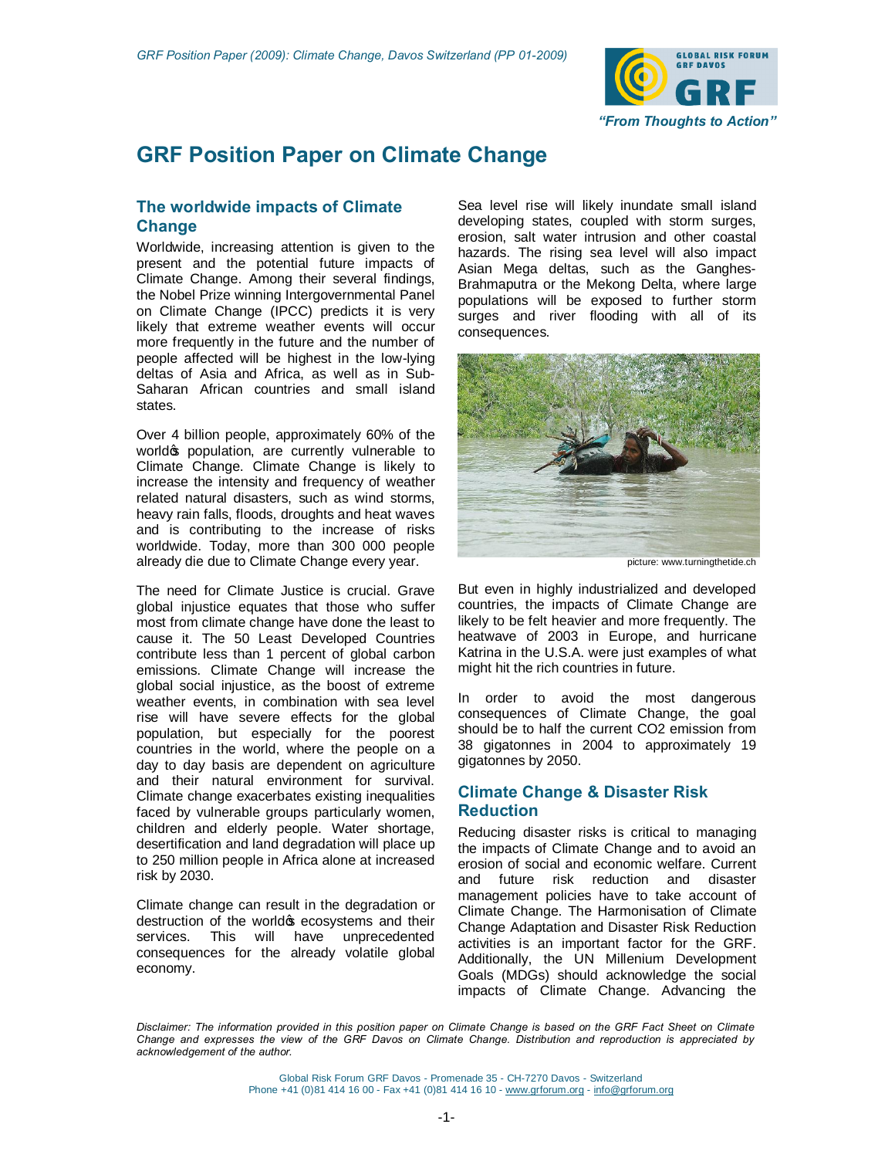

# **GRF Position Paper on Climate Change**

# **The worldwide impacts of Climate Change**

Worldwide, increasing attention is given to the present and the potential future impacts of Climate Change. Among their several findings, the Nobel Prize winning Intergovernmental Panel on Climate Change (IPCC) predicts it is very likely that extreme weather events will occur more frequently in the future and the number of people affected will be highest in the low-lying deltas of Asia and Africa, as well as in Sub-Saharan African countries and small island states.

Over 4 billion people, approximately 60% of the world oppulation, are currently vulnerable to Climate Change. Climate Change is likely to increase the intensity and frequency of weather related natural disasters, such as wind storms, heavy rain falls, floods, droughts and heat waves and is contributing to the increase of risks worldwide. Today, more than 300 000 people already die due to Climate Change every year.

The need for Climate Justice is crucial. Grave global injustice equates that those who suffer most from climate change have done the least to cause it. The 50 Least Developed Countries contribute less than 1 percent of global carbon emissions. Climate Change will increase the global social injustice, as the boost of extreme weather events, in combination with sea level rise will have severe effects for the global population, but especially for the poorest countries in the world, where the people on a day to day basis are dependent on agriculture and their natural environment for survival. Climate change exacerbates existing inequalities faced by vulnerable groups particularly women, children and elderly people. Water shortage, desertification and land degradation will place up to 250 million people in Africa alone at increased risk by 2030.

Climate change can result in the degradation or destruction of the worldos ecosystems and their services. This will have unprecedented consequences for the already volatile global economy.

Sea level rise will likely inundate small island developing states, coupled with storm surges, erosion, salt water intrusion and other coastal hazards. The rising sea level will also impact Asian Mega deltas, such as the Ganghes-Brahmaputra or the Mekong Delta, where large populations will be exposed to further storm surges and river flooding with all of its consequences.



picture: www.turningthetide.ch

But even in highly industrialized and developed countries, the impacts of Climate Change are likely to be felt heavier and more frequently. The heatwave of 2003 in Europe, and hurricane Katrina in the U.S.A. were just examples of what might hit the rich countries in future.

In order to avoid the most dangerous consequences of Climate Change, the goal should be to half the current CO2 emission from 38 gigatonnes in 2004 to approximately 19 gigatonnes by 2050.

# **Climate Change & Disaster Risk Reduction**

Reducing disaster risks is critical to managing the impacts of Climate Change and to avoid an erosion of social and economic welfare. Current and future risk reduction and disaster management policies have to take account of Climate Change. The Harmonisation of Climate Change Adaptation and Disaster Risk Reduction activities is an important factor for the GRF. Additionally, the UN Millenium Development Goals (MDGs) should acknowledge the social impacts of Climate Change. Advancing the

*Disclaimer: The information provided in this position paper on Climate Change is based on the GRF Fact Sheet on Climate Change and expresses the view of the GRF Davos on Climate Change. Distribution and reproduction is appreciated by acknowledgement of the author.*